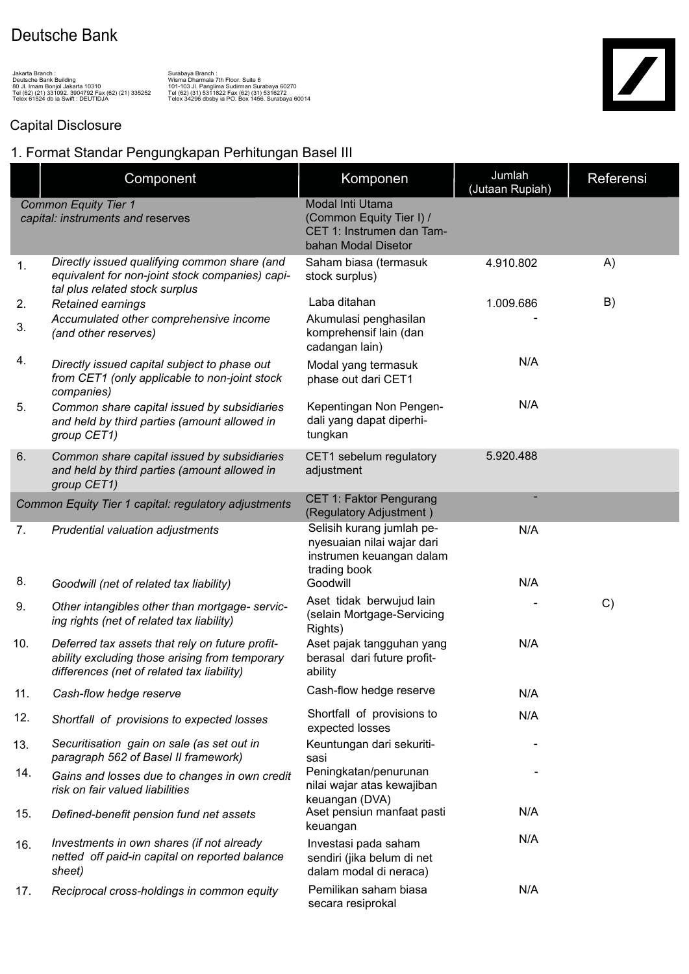## Deutsche Bank

Jakarta Branch :<br>Deutsche Bank Building<br>80 Jl. Imam Bonjol Jakarta 10310<br>Telex 61524 db ia Swift : DEUTIDJA<br>Telex 61524 db ia Swift : DEUTIDJA

Surabaya Branch :<br>Surabaya Branch :<br>101-103 Jl. Panglima Sudirman Surabaya 60270<br>Tel (62) (31) 5311822 Fax (62) (31) 5316272<br>Telex 34296 dbsby ia PO. Box 1456. Surabaya 60014

## Capital Disclosure

## 1. Format Standar Pengungkapan Perhitungan Basel III

|                                                                  | Component                                                                                                                                       | Komponen                                                                                            | Jumlah<br>(Jutaan Rupiah) | Referensi |
|------------------------------------------------------------------|-------------------------------------------------------------------------------------------------------------------------------------------------|-----------------------------------------------------------------------------------------------------|---------------------------|-----------|
| <b>Common Equity Tier 1</b><br>capital: instruments and reserves |                                                                                                                                                 | Modal Inti Utama<br>(Common Equity Tier I) /<br>CET 1: Instrumen dan Tam-<br>bahan Modal Disetor    |                           |           |
| 1.                                                               | Directly issued qualifying common share (and<br>equivalent for non-joint stock companies) capi-<br>tal plus related stock surplus               | Saham biasa (termasuk<br>stock surplus)                                                             | 4.910.802                 | A)        |
| 2.                                                               | Retained earnings                                                                                                                               | Laba ditahan                                                                                        | 1.009.686                 | B)        |
| 3.                                                               | Accumulated other comprehensive income<br>(and other reserves)                                                                                  | Akumulasi penghasilan<br>komprehensif lain (dan<br>cadangan lain)                                   |                           |           |
| 4.                                                               | Directly issued capital subject to phase out<br>from CET1 (only applicable to non-joint stock<br>companies)                                     | Modal yang termasuk<br>phase out dari CET1                                                          | N/A                       |           |
| 5.                                                               | Common share capital issued by subsidiaries<br>and held by third parties (amount allowed in<br>group CET1)                                      | Kepentingan Non Pengen-<br>dali yang dapat diperhi-<br>tungkan                                      | N/A                       |           |
| 6.                                                               | Common share capital issued by subsidiaries<br>and held by third parties (amount allowed in<br>group CET1)                                      | CET1 sebelum regulatory<br>adjustment                                                               | 5.920.488                 |           |
|                                                                  | Common Equity Tier 1 capital: regulatory adjustments                                                                                            | CET 1: Faktor Pengurang<br>(Regulatory Adjustment)                                                  |                           |           |
| 7.                                                               | Prudential valuation adjustments                                                                                                                | Selisih kurang jumlah pe-<br>nyesuaian nilai wajar dari<br>instrumen keuangan dalam<br>trading book | N/A                       |           |
| 8.                                                               | Goodwill (net of related tax liability)                                                                                                         | Goodwill                                                                                            | N/A                       |           |
| 9.                                                               | Other intangibles other than mortgage- servic-<br>ing rights (net of related tax liability)                                                     | Aset tidak berwujud lain<br>(selain Mortgage-Servicing<br>Rights)                                   |                           | C)        |
| 10.                                                              | Deferred tax assets that rely on future profit-<br>ability excluding those arising from temporary<br>differences (net of related tax liability) | Aset pajak tangguhan yang<br>berasal dari future profit-<br>ability                                 | N/A                       |           |
| 11.                                                              | Cash-flow hedge reserve                                                                                                                         | Cash-flow hedge reserve                                                                             | N/A                       |           |
| 12.                                                              | Shortfall of provisions to expected losses                                                                                                      | Shortfall of provisions to<br>expected losses                                                       | N/A                       |           |
| 13.                                                              | Securitisation gain on sale (as set out in<br>paragraph 562 of Basel II framework)                                                              | Keuntungan dari sekuriti-<br>sasi                                                                   |                           |           |
| 14.                                                              | Gains and losses due to changes in own credit<br>risk on fair valued liabilities                                                                | Peningkatan/penurunan<br>nilai wajar atas kewajiban<br>keuangan (DVA)                               |                           |           |
| 15.                                                              | Defined-benefit pension fund net assets                                                                                                         | Aset pensiun manfaat pasti<br>keuangan                                                              | N/A                       |           |
| 16.                                                              | Investments in own shares (if not already<br>netted off paid-in capital on reported balance<br>sheet)                                           | Investasi pada saham<br>sendiri (jika belum di net<br>dalam modal di neraca)                        | N/A                       |           |
| 17.                                                              | Reciprocal cross-holdings in common equity                                                                                                      | Pemilikan saham biasa<br>secara resiprokal                                                          | N/A                       |           |

 $\overline{\phantom{a}}$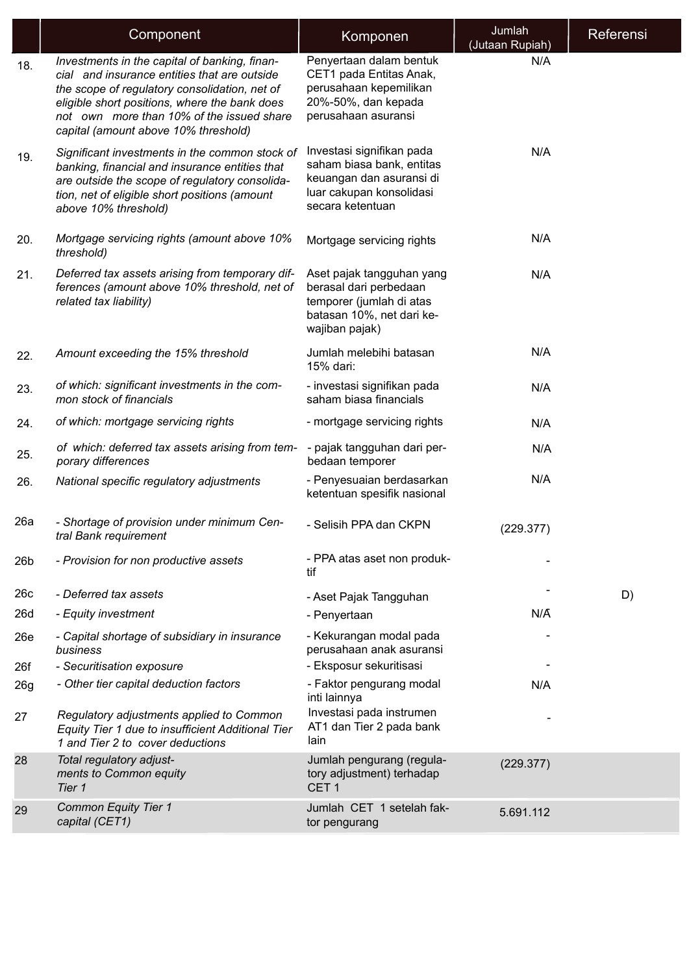|                 | Component                                                                                                                                                                                                                                                                            | Komponen                                                                                                                           | Jumlah<br>(Jutaan Rupiah) | Referensi |
|-----------------|--------------------------------------------------------------------------------------------------------------------------------------------------------------------------------------------------------------------------------------------------------------------------------------|------------------------------------------------------------------------------------------------------------------------------------|---------------------------|-----------|
| 18.             | Investments in the capital of banking, finan-<br>cial and insurance entities that are outside<br>the scope of regulatory consolidation, net of<br>eligible short positions, where the bank does<br>not own more than 10% of the issued share<br>capital (amount above 10% threshold) | Penyertaan dalam bentuk<br>CET1 pada Entitas Anak,<br>perusahaan kepemilikan<br>20%-50%, dan kepada<br>perusahaan asuransi         | N/A                       |           |
| 19.             | Significant investments in the common stock of<br>banking, financial and insurance entities that<br>are outside the scope of regulatory consolida-<br>tion, net of eligible short positions (amount<br>above 10% threshold)                                                          | Investasi signifikan pada<br>saham biasa bank, entitas<br>keuangan dan asuransi di<br>luar cakupan konsolidasi<br>secara ketentuan | N/A                       |           |
| 20.             | Mortgage servicing rights (amount above 10%<br>threshold)                                                                                                                                                                                                                            | Mortgage servicing rights                                                                                                          | N/A                       |           |
| 21.             | Deferred tax assets arising from temporary dif-<br>ferences (amount above 10% threshold, net of<br>related tax liability)                                                                                                                                                            | Aset pajak tangguhan yang<br>berasal dari perbedaan<br>temporer (jumlah di atas<br>batasan 10%, net dari ke-<br>wajiban pajak)     | N/A                       |           |
| 22.             | Amount exceeding the 15% threshold                                                                                                                                                                                                                                                   | Jumlah melebihi batasan<br>15% dari:                                                                                               | N/A                       |           |
| 23.             | of which: significant investments in the com-<br>mon stock of financials                                                                                                                                                                                                             | - investasi signifikan pada<br>saham biasa financials                                                                              | N/A                       |           |
| 24.             | of which: mortgage servicing rights                                                                                                                                                                                                                                                  | - mortgage servicing rights                                                                                                        | N/A                       |           |
| 25.             | of which: deferred tax assets arising from tem-<br>porary differences                                                                                                                                                                                                                | - pajak tangguhan dari per-<br>bedaan temporer                                                                                     | N/A                       |           |
| 26.             | National specific regulatory adjustments                                                                                                                                                                                                                                             | - Penyesuaian berdasarkan<br>ketentuan spesifik nasional                                                                           | N/A                       |           |
| 26a             | - Shortage of provision under minimum Cen-<br>tral Bank requirement                                                                                                                                                                                                                  | - Selisih PPA dan CKPN                                                                                                             | (229.377)                 |           |
| 26 <sub>b</sub> | - Provision for non productive assets                                                                                                                                                                                                                                                | - PPA atas aset non produk-<br>tif                                                                                                 |                           |           |
| 26c             | - Deferred tax assets                                                                                                                                                                                                                                                                | - Aset Pajak Tangguhan                                                                                                             |                           | D)        |
| 26d             | - Equity investment                                                                                                                                                                                                                                                                  | - Penyertaan                                                                                                                       | N/A                       |           |
| 26e             | - Capital shortage of subsidiary in insurance<br>business                                                                                                                                                                                                                            | - Kekurangan modal pada<br>perusahaan anak asuransi                                                                                |                           |           |
| 26f             | - Securitisation exposure                                                                                                                                                                                                                                                            | - Eksposur sekuritisasi                                                                                                            |                           |           |
| 26g             | - Other tier capital deduction factors                                                                                                                                                                                                                                               | - Faktor pengurang modal<br>inti lainnya                                                                                           | N/A                       |           |
| 27              | Regulatory adjustments applied to Common<br>Equity Tier 1 due to insufficient Additional Tier<br>1 and Tier 2 to cover deductions                                                                                                                                                    | Investasi pada instrumen<br>AT1 dan Tier 2 pada bank<br>lain                                                                       |                           |           |
| 28              | Total regulatory adjust-<br>ments to Common equity<br>Tier 1                                                                                                                                                                                                                         | Jumlah pengurang (regula-<br>tory adjustment) terhadap<br>CET <sub>1</sub>                                                         | (229.377)                 |           |
| 29              | <b>Common Equity Tier 1</b><br>capital (CET1)                                                                                                                                                                                                                                        | Jumlah CET 1 setelah fak-<br>tor pengurang                                                                                         | 5.691.112                 |           |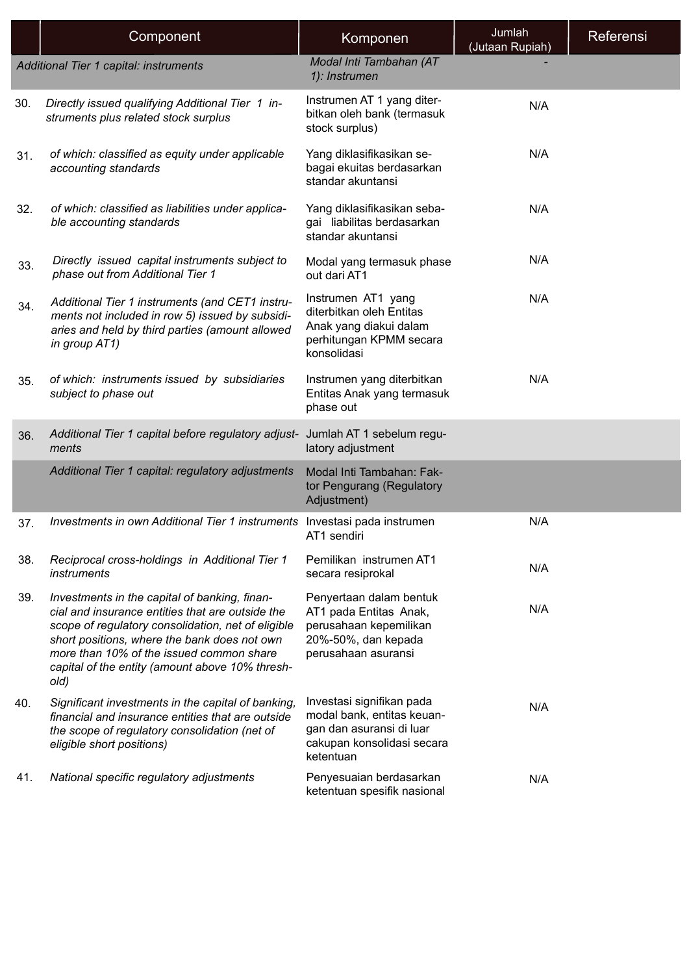|     | Component                                                                                                                                                                                                                                                                                                      | Komponen                                                                                                                       | Jumlah<br>(Jutaan Rupiah) | Referensi |
|-----|----------------------------------------------------------------------------------------------------------------------------------------------------------------------------------------------------------------------------------------------------------------------------------------------------------------|--------------------------------------------------------------------------------------------------------------------------------|---------------------------|-----------|
|     | Additional Tier 1 capital: instruments                                                                                                                                                                                                                                                                         | Modal Inti Tambahan (AT<br>1): Instrumen                                                                                       |                           |           |
| 30. | Directly issued qualifying Additional Tier 1 in-<br>struments plus related stock surplus                                                                                                                                                                                                                       | Instrumen AT 1 yang diter-<br>bitkan oleh bank (termasuk<br>stock surplus)                                                     | N/A                       |           |
| 31. | of which: classified as equity under applicable<br>accounting standards                                                                                                                                                                                                                                        | Yang diklasifikasikan se-<br>bagai ekuitas berdasarkan<br>standar akuntansi                                                    | N/A                       |           |
| 32. | of which: classified as liabilities under applica-<br>ble accounting standards                                                                                                                                                                                                                                 | Yang diklasifikasikan seba-<br>gai liabilitas berdasarkan<br>standar akuntansi                                                 | N/A                       |           |
| 33. | Directly issued capital instruments subject to<br>phase out from Additional Tier 1                                                                                                                                                                                                                             | Modal yang termasuk phase<br>out dari AT1                                                                                      | N/A                       |           |
| 34. | Additional Tier 1 instruments (and CET1 instru-<br>ments not included in row 5) issued by subsidi-<br>aries and held by third parties (amount allowed<br>in group AT1)                                                                                                                                         | Instrumen AT1 yang<br>diterbitkan oleh Entitas<br>Anak yang diakui dalam<br>perhitungan KPMM secara<br>konsolidasi             | N/A                       |           |
| 35. | of which: instruments issued by subsidiaries<br>subject to phase out                                                                                                                                                                                                                                           | Instrumen yang diterbitkan<br>Entitas Anak yang termasuk<br>phase out                                                          | N/A                       |           |
| 36. | Additional Tier 1 capital before regulatory adjust-<br>ments                                                                                                                                                                                                                                                   | Jumlah AT 1 sebelum regu-<br>latory adjustment                                                                                 |                           |           |
|     | Additional Tier 1 capital: regulatory adjustments                                                                                                                                                                                                                                                              | Modal Inti Tambahan: Fak-<br>tor Pengurang (Regulatory<br>Adjustment)                                                          |                           |           |
| 37. | Investments in own Additional Tier 1 instruments Investasi pada instrumen                                                                                                                                                                                                                                      | AT1 sendiri                                                                                                                    | N/A                       |           |
| 38. | Reciprocal cross-holdings in Additional Tier 1<br>instruments                                                                                                                                                                                                                                                  | Pemilikan instrumen AT1<br>secara resiprokal                                                                                   | N/A                       |           |
| 39. | Investments in the capital of banking, finan-<br>cial and insurance entities that are outside the<br>scope of regulatory consolidation, net of eligible<br>short positions, where the bank does not own<br>more than 10% of the issued common share<br>capital of the entity (amount above 10% thresh-<br>old) | Penyertaan dalam bentuk<br>AT1 pada Entitas Anak,<br>perusahaan kepemilikan<br>20%-50%, dan kepada<br>perusahaan asuransi      | N/A                       |           |
| 40. | Significant investments in the capital of banking,<br>financial and insurance entities that are outside<br>the scope of regulatory consolidation (net of<br>eligible short positions)                                                                                                                          | Investasi signifikan pada<br>modal bank, entitas keuan-<br>gan dan asuransi di luar<br>cakupan konsolidasi secara<br>ketentuan | N/A                       |           |
| 41. | National specific regulatory adjustments                                                                                                                                                                                                                                                                       | Penyesuaian berdasarkan<br>ketentuan spesifik nasional                                                                         | N/A                       |           |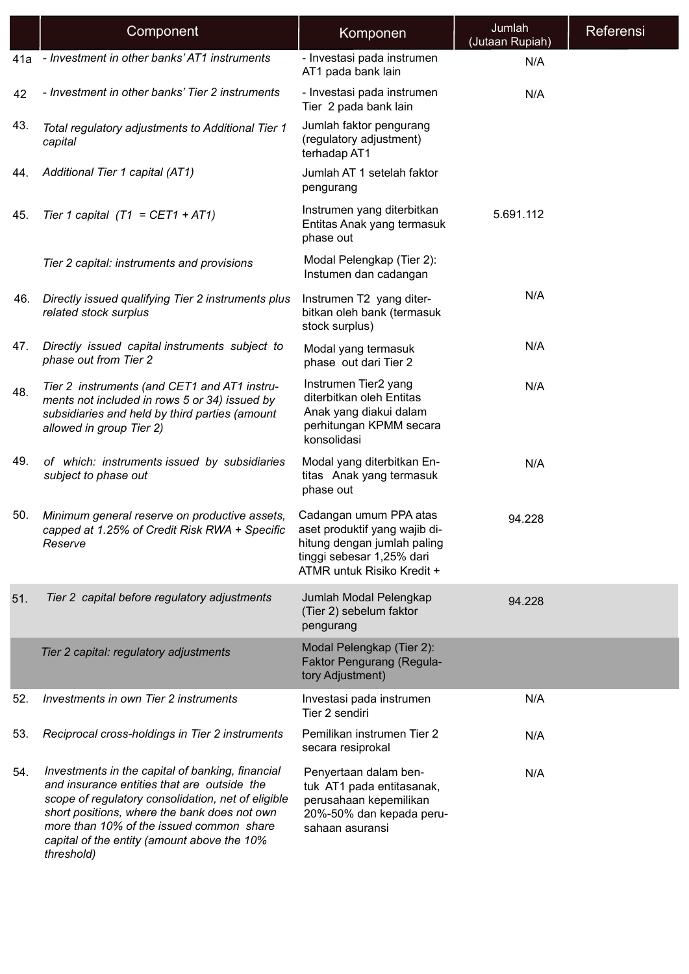|     | Component                                                                                                                                                                                                                                                                                                      | Komponen                                                                                                                                          | Jumlah<br>(Jutaan Rupiah) | Referensi |
|-----|----------------------------------------------------------------------------------------------------------------------------------------------------------------------------------------------------------------------------------------------------------------------------------------------------------------|---------------------------------------------------------------------------------------------------------------------------------------------------|---------------------------|-----------|
| 41a | - Investment in other banks' AT1 instruments                                                                                                                                                                                                                                                                   | - Investasi pada instrumen<br>AT1 pada bank lain                                                                                                  | N/A                       |           |
| 42  | - Investment in other banks' Tier 2 instruments                                                                                                                                                                                                                                                                | - Investasi pada instrumen<br>Tier 2 pada bank lain                                                                                               | N/A                       |           |
| 43. | Total regulatory adjustments to Additional Tier 1<br>capital                                                                                                                                                                                                                                                   | Jumlah faktor pengurang<br>(regulatory adjustment)<br>terhadap AT1                                                                                |                           |           |
| 44. | Additional Tier 1 capital (AT1)                                                                                                                                                                                                                                                                                | Jumlah AT 1 setelah faktor<br>pengurang                                                                                                           |                           |           |
| 45. | Tier 1 capital $(T1 = CET1 + AT1)$                                                                                                                                                                                                                                                                             | Instrumen yang diterbitkan<br>Entitas Anak yang termasuk<br>phase out                                                                             | 5.691.112                 |           |
|     | Tier 2 capital: instruments and provisions                                                                                                                                                                                                                                                                     | Modal Pelengkap (Tier 2):<br>Instumen dan cadangan                                                                                                |                           |           |
| 46. | Directly issued qualifying Tier 2 instruments plus<br>related stock surplus                                                                                                                                                                                                                                    | Instrumen T2 yang diter-<br>bitkan oleh bank (termasuk<br>stock surplus)                                                                          | N/A                       |           |
| 47. | Directly issued capital instruments subject to<br>phase out from Tier 2                                                                                                                                                                                                                                        | Modal yang termasuk<br>phase out dari Tier 2                                                                                                      | N/A                       |           |
| 48. | Tier 2 instruments (and CET1 and AT1 instru-<br>ments not included in rows 5 or 34) issued by<br>subsidiaries and held by third parties (amount<br>allowed in group Tier 2)                                                                                                                                    | Instrumen Tier2 yang<br>diterbitkan oleh Entitas<br>Anak yang diakui dalam<br>perhitungan KPMM secara<br>konsolidasi                              | N/A                       |           |
| 49. | of which: instruments issued by subsidiaries<br>subject to phase out                                                                                                                                                                                                                                           | Modal yang diterbitkan En-<br>titas Anak yang termasuk<br>phase out                                                                               | N/A                       |           |
| 50. | Minimum general reserve on productive assets,<br>capped at 1.25% of Credit Risk RWA + Specific<br>Reserve                                                                                                                                                                                                      | Cadangan umum PPA atas<br>aset produktif yang wajib di-<br>hitung dengan jumlah paling<br>tinggi sebesar 1,25% dari<br>ATMR untuk Risiko Kredit + | 94.228                    |           |
| 51. | Tier 2 capital before regulatory adjustments                                                                                                                                                                                                                                                                   | Jumlah Modal Pelengkap<br>(Tier 2) sebelum faktor<br>pengurang                                                                                    | 94.228                    |           |
|     | Tier 2 capital: regulatory adjustments                                                                                                                                                                                                                                                                         | Modal Pelengkap (Tier 2):<br>Faktor Pengurang (Regula-<br>tory Adjustment)                                                                        |                           |           |
| 52. | Investments in own Tier 2 instruments                                                                                                                                                                                                                                                                          | Investasi pada instrumen<br>Tier 2 sendiri                                                                                                        | N/A                       |           |
| 53. | Reciprocal cross-holdings in Tier 2 instruments                                                                                                                                                                                                                                                                | Pemilikan instrumen Tier 2<br>secara resiprokal                                                                                                   | N/A                       |           |
| 54. | Investments in the capital of banking, financial<br>and insurance entities that are outside the<br>scope of regulatory consolidation, net of eligible<br>short positions, where the bank does not own<br>more than 10% of the issued common share<br>capital of the entity (amount above the 10%<br>threshold) | Penyertaan dalam ben-<br>tuk AT1 pada entitasanak,<br>perusahaan kepemilikan<br>20%-50% dan kepada peru-<br>sahaan asuransi                       | N/A                       |           |

I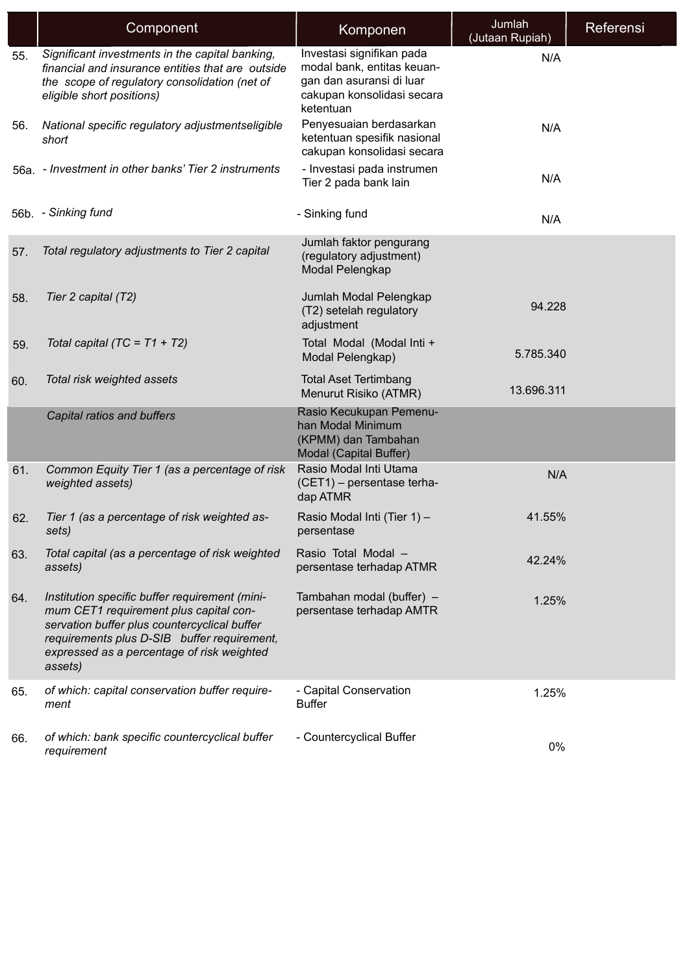|     | Component                                                                                                                                                                                                                                        | Komponen                                                                                                                       | Jumlah<br>(Jutaan Rupiah) | Referensi |
|-----|--------------------------------------------------------------------------------------------------------------------------------------------------------------------------------------------------------------------------------------------------|--------------------------------------------------------------------------------------------------------------------------------|---------------------------|-----------|
| 55. | Significant investments in the capital banking,<br>financial and insurance entities that are outside<br>the scope of regulatory consolidation (net of<br>eligible short positions)                                                               | Investasi signifikan pada<br>modal bank, entitas keuan-<br>gan dan asuransi di luar<br>cakupan konsolidasi secara<br>ketentuan | N/A                       |           |
| 56. | National specific regulatory adjustmentseligible<br>short                                                                                                                                                                                        | Penyesuaian berdasarkan<br>ketentuan spesifik nasional<br>cakupan konsolidasi secara                                           | N/A                       |           |
|     | 56a. - Investment in other banks' Tier 2 instruments                                                                                                                                                                                             | - Investasi pada instrumen<br>Tier 2 pada bank lain                                                                            | N/A                       |           |
|     | 56b. - Sinking fund                                                                                                                                                                                                                              | - Sinking fund                                                                                                                 | N/A                       |           |
| 57. | Total regulatory adjustments to Tier 2 capital                                                                                                                                                                                                   | Jumlah faktor pengurang<br>(regulatory adjustment)<br>Modal Pelengkap                                                          |                           |           |
| 58. | Tier 2 capital (T2)                                                                                                                                                                                                                              | Jumlah Modal Pelengkap<br>(T2) setelah regulatory<br>adjustment                                                                | 94.228                    |           |
| 59. | Total capital (TC = $T1 + T2$ )                                                                                                                                                                                                                  | Total Modal (Modal Inti +<br>Modal Pelengkap)                                                                                  | 5.785.340                 |           |
| 60. | Total risk weighted assets                                                                                                                                                                                                                       | <b>Total Aset Tertimbang</b><br>Menurut Risiko (ATMR)                                                                          | 13.696.311                |           |
|     | Capital ratios and buffers                                                                                                                                                                                                                       | Rasio Kecukupan Pemenu-<br>han Modal Minimum<br>(KPMM) dan Tambahan<br>Modal (Capital Buffer)                                  |                           |           |
| 61. | Common Equity Tier 1 (as a percentage of risk<br>weighted assets)                                                                                                                                                                                | Rasio Modal Inti Utama<br>(CET1) - persentase terha-<br>dap ATMR                                                               | N/A                       |           |
| 62. | Tier 1 (as a percentage of risk weighted as-<br>sets)                                                                                                                                                                                            | Rasio Modal Inti (Tier 1) -<br>persentase                                                                                      | 41.55%                    |           |
| 63. | Total capital (as a percentage of risk weighted<br>assets)                                                                                                                                                                                       | Rasio Total Modal -<br>persentase terhadap ATMR                                                                                | 42.24%                    |           |
| 64. | Institution specific buffer requirement (mini-<br>mum CET1 requirement plus capital con-<br>servation buffer plus countercyclical buffer<br>requirements plus D-SIB buffer requirement,<br>expressed as a percentage of risk weighted<br>assets) | Tambahan modal (buffer) -<br>persentase terhadap AMTR                                                                          | 1.25%                     |           |
| 65. | of which: capital conservation buffer require-<br>ment                                                                                                                                                                                           | - Capital Conservation<br><b>Buffer</b>                                                                                        | 1.25%                     |           |
| 66. | of which: bank specific countercyclical buffer<br>requirement                                                                                                                                                                                    | - Countercyclical Buffer                                                                                                       | 0%                        |           |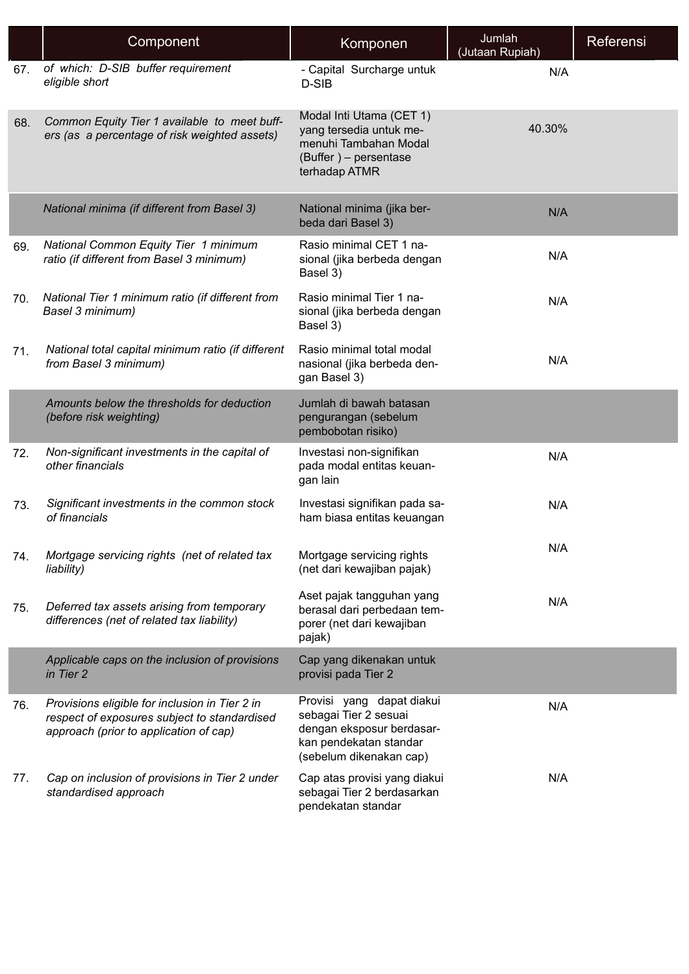|     | Component                                                                                                                                | Komponen                                                                                                                             | Jumlah<br>(Jutaan Rupiah) | Referensi |
|-----|------------------------------------------------------------------------------------------------------------------------------------------|--------------------------------------------------------------------------------------------------------------------------------------|---------------------------|-----------|
| 67. | of which: D-SIB buffer requirement<br>eligible short                                                                                     | - Capital Surcharge untuk<br>D-SIB                                                                                                   | N/A                       |           |
| 68. | Common Equity Tier 1 available to meet buff-<br>ers (as a percentage of risk weighted assets)                                            | Modal Inti Utama (CET 1)<br>yang tersedia untuk me-<br>menuhi Tambahan Modal<br>(Buffer) - persentase<br>terhadap ATMR               | 40.30%                    |           |
|     | National minima (if different from Basel 3)                                                                                              | National minima (jika ber-<br>beda dari Basel 3)                                                                                     | N/A                       |           |
| 69. | National Common Equity Tier 1 minimum<br>ratio (if different from Basel 3 minimum)                                                       | Rasio minimal CET 1 na-<br>sional (jika berbeda dengan<br>Basel 3)                                                                   | N/A                       |           |
| 70. | National Tier 1 minimum ratio (if different from<br>Basel 3 minimum)                                                                     | Rasio minimal Tier 1 na-<br>sional (jika berbeda dengan<br>Basel 3)                                                                  | N/A                       |           |
| 71. | National total capital minimum ratio (if different<br>from Basel 3 minimum)                                                              | Rasio minimal total modal<br>nasional (jika berbeda den-<br>gan Basel 3)                                                             | N/A                       |           |
|     | Amounts below the thresholds for deduction<br>(before risk weighting)                                                                    | Jumlah di bawah batasan<br>pengurangan (sebelum<br>pembobotan risiko)                                                                |                           |           |
| 72. | Non-significant investments in the capital of<br>other financials                                                                        | Investasi non-signifikan<br>pada modal entitas keuan-<br>gan lain                                                                    | N/A                       |           |
| 73. | Significant investments in the common stock<br>of financials                                                                             | Investasi signifikan pada sa-<br>ham biasa entitas keuangan                                                                          | N/A                       |           |
| 74. | Mortgage servicing rights (net of related tax<br>liability)                                                                              | Mortgage servicing rights<br>(net dari kewajiban pajak)                                                                              | N/A                       |           |
| 75. | Deferred tax assets arising from temporary<br>differences (net of related tax liability)                                                 | Aset pajak tangguhan yang<br>berasal dari perbedaan tem-<br>porer (net dari kewajiban<br>pajak)                                      | N/A                       |           |
|     | Applicable caps on the inclusion of provisions<br>in Tier 2                                                                              | Cap yang dikenakan untuk<br>provisi pada Tier 2                                                                                      |                           |           |
| 76. | Provisions eligible for inclusion in Tier 2 in<br>respect of exposures subject to standardised<br>approach (prior to application of cap) | Provisi yang dapat diakui<br>sebagai Tier 2 sesuai<br>dengan eksposur berdasar-<br>kan pendekatan standar<br>(sebelum dikenakan cap) | N/A                       |           |
| 77. | Cap on inclusion of provisions in Tier 2 under<br>standardised approach                                                                  | Cap atas provisi yang diakui<br>sebagai Tier 2 berdasarkan<br>pendekatan standar                                                     | N/A                       |           |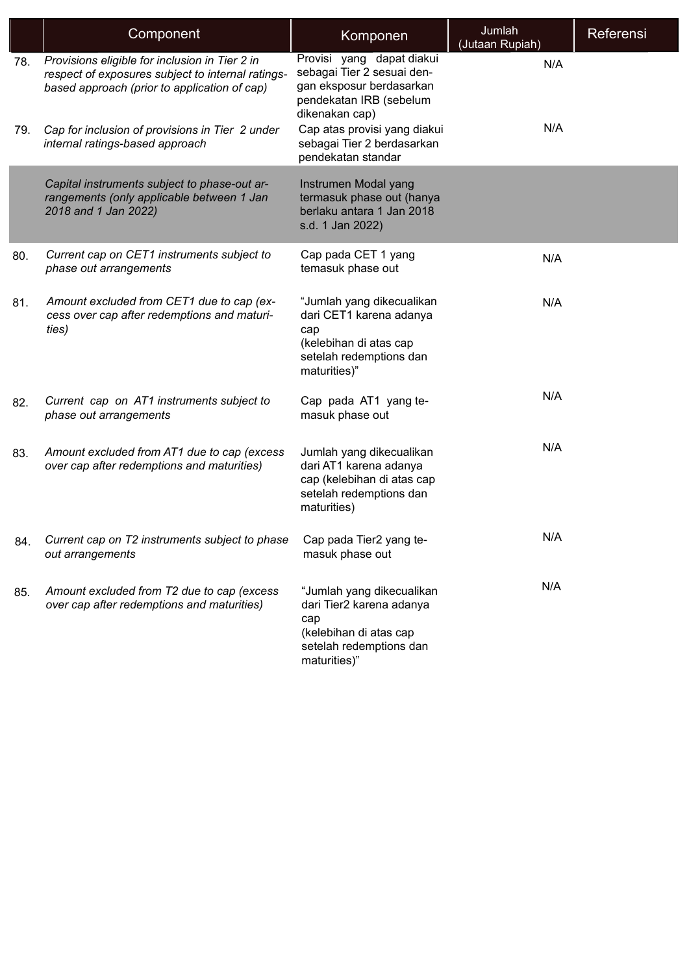|     | Component                                                                                                                                           | Komponen                                                                                                                          | Jumlah<br>(Jutaan Rupiah) | Referensi |
|-----|-----------------------------------------------------------------------------------------------------------------------------------------------------|-----------------------------------------------------------------------------------------------------------------------------------|---------------------------|-----------|
| 78. | Provisions eligible for inclusion in Tier 2 in<br>respect of exposures subject to internal ratings-<br>based approach (prior to application of cap) | Provisi yang dapat diakui<br>sebagai Tier 2 sesuai den-<br>gan eksposur berdasarkan<br>pendekatan IRB (sebelum<br>dikenakan cap)  | N/A                       |           |
| 79. | Cap for inclusion of provisions in Tier 2 under<br>internal ratings-based approach                                                                  | Cap atas provisi yang diakui<br>sebagai Tier 2 berdasarkan<br>pendekatan standar                                                  | N/A                       |           |
|     | Capital instruments subject to phase-out ar-<br>rangements (only applicable between 1 Jan<br>2018 and 1 Jan 2022)                                   | Instrumen Modal yang<br>termasuk phase out (hanya<br>berlaku antara 1 Jan 2018<br>s.d. 1 Jan 2022)                                |                           |           |
| 80. | Current cap on CET1 instruments subject to<br>phase out arrangements                                                                                | Cap pada CET 1 yang<br>temasuk phase out                                                                                          | N/A                       |           |
| 81. | Amount excluded from CET1 due to cap (ex-<br>cess over cap after redemptions and maturi-<br>ties)                                                   | "Jumlah yang dikecualikan<br>dari CET1 karena adanya<br>cap<br>(kelebihan di atas cap<br>setelah redemptions dan<br>maturities)"  | N/A                       |           |
| 82. | Current cap on AT1 instruments subject to<br>phase out arrangements                                                                                 | Cap pada AT1 yang te-<br>masuk phase out                                                                                          | N/A                       |           |
| 83. | Amount excluded from AT1 due to cap (excess<br>over cap after redemptions and maturities)                                                           | Jumlah yang dikecualikan<br>dari AT1 karena adanya<br>cap (kelebihan di atas cap<br>setelah redemptions dan<br>maturities)        | N/A                       |           |
| 84. | Current cap on T2 instruments subject to phase Cap pada Tier2 yang te-<br>out arrangements                                                          | masuk phase out                                                                                                                   | N/A                       |           |
| 85. | Amount excluded from T2 due to cap (excess<br>over cap after redemptions and maturities)                                                            | "Jumlah yang dikecualikan<br>dari Tier2 karena adanya<br>cap<br>(kelebihan di atas cap<br>setelah redemptions dan<br>maturities)" | N/A                       |           |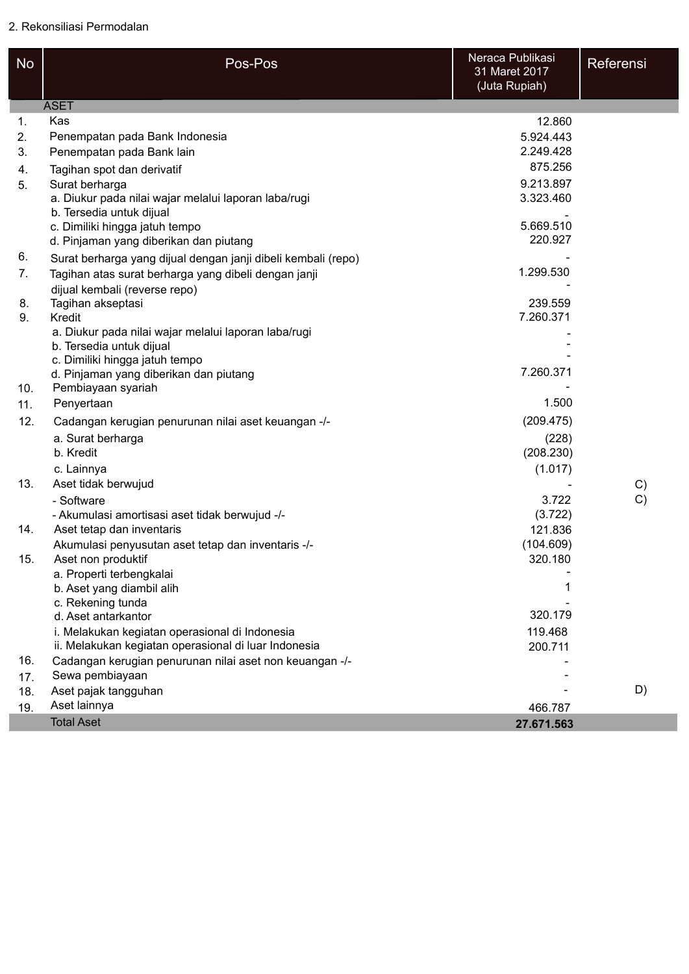| <b>No</b> | Pos-Pos                                                                          | Neraca Publikasi<br>31 Maret 2017<br>(Juta Rupiah) | Referensi |
|-----------|----------------------------------------------------------------------------------|----------------------------------------------------|-----------|
|           | <b>ASET</b>                                                                      |                                                    |           |
| 1.        | Kas                                                                              | 12.860                                             |           |
| 2.        | Penempatan pada Bank Indonesia                                                   | 5.924.443                                          |           |
| 3.        | Penempatan pada Bank lain                                                        | 2.249.428                                          |           |
| 4.        | Tagihan spot dan derivatif                                                       | 875.256                                            |           |
| 5.        | Surat berharga                                                                   | 9.213.897                                          |           |
|           | a. Diukur pada nilai wajar melalui laporan laba/rugi<br>b. Tersedia untuk dijual | 3.323.460                                          |           |
|           | c. Dimiliki hingga jatuh tempo                                                   | 5.669.510                                          |           |
|           | d. Pinjaman yang diberikan dan piutang                                           | 220.927                                            |           |
| 6.        | Surat berharga yang dijual dengan janji dibeli kembali (repo)                    |                                                    |           |
| 7.        | Tagihan atas surat berharga yang dibeli dengan janji                             | 1.299.530                                          |           |
|           | dijual kembali (reverse repo)                                                    |                                                    |           |
| 8.        | Tagihan akseptasi                                                                | 239.559                                            |           |
| 9.        | Kredit                                                                           | 7.260.371                                          |           |
|           | a. Diukur pada nilai wajar melalui laporan laba/rugi                             |                                                    |           |
|           | b. Tersedia untuk dijual                                                         |                                                    |           |
|           | c. Dimiliki hingga jatuh tempo                                                   |                                                    |           |
|           | d. Pinjaman yang diberikan dan piutang                                           | 7.260.371                                          |           |
| 10.       | Pembiayaan syariah                                                               |                                                    |           |
| 11.       | Penyertaan                                                                       | 1.500                                              |           |
| 12.       | Cadangan kerugian penurunan nilai aset keuangan -/-                              | (209.475)                                          |           |
|           | a. Surat berharga                                                                | (228)                                              |           |
|           | b. Kredit                                                                        | (208.230)                                          |           |
|           | c. Lainnya                                                                       | (1.017)                                            |           |
| 13.       | Aset tidak berwujud                                                              |                                                    | C)        |
|           | - Software                                                                       | 3.722                                              | C)        |
|           | - Akumulasi amortisasi aset tidak berwujud -/-                                   | (3.722)                                            |           |
| 14.       | Aset tetap dan inventaris                                                        | 121.836                                            |           |
|           | Akumulasi penyusutan aset tetap dan inventaris -/-                               | (104.609)                                          |           |
| 15.       | Aset non produktif                                                               | 320.180                                            |           |
|           | a. Properti terbengkalai<br>b. Aset yang diambil alih                            |                                                    |           |
|           | c. Rekening tunda                                                                |                                                    |           |
|           | d. Aset antarkantor                                                              | 320.179                                            |           |
|           | i. Melakukan kegiatan operasional di Indonesia                                   | 119.468                                            |           |
|           | ii. Melakukan kegiatan operasional di luar Indonesia                             | 200.711                                            |           |
| 16.       | Cadangan kerugian penurunan nilai aset non keuangan -/-                          |                                                    |           |
| 17.       | Sewa pembiayaan                                                                  |                                                    |           |
| 18.       | Aset pajak tangguhan                                                             |                                                    | D)        |
| 19.       | Aset lainnya                                                                     | 466.787                                            |           |
|           | <b>Total Aset</b>                                                                | 27.671.563                                         |           |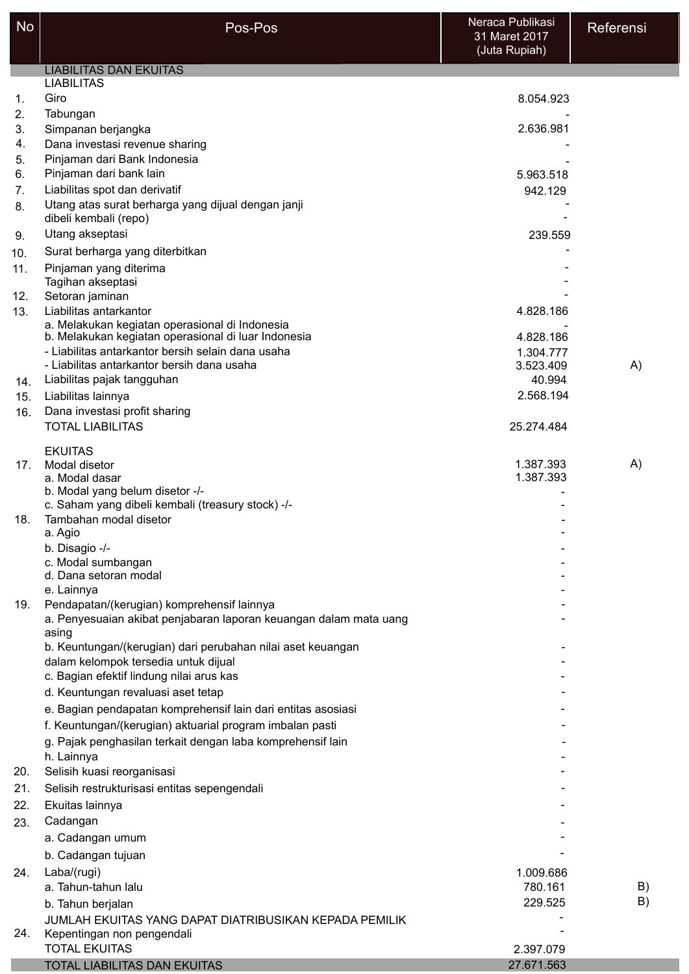| <b>No</b>       | Pos-Pos                                                                                             | Neraca Publikasi<br>31 Maret 2017<br>(Juta Rupiah) | Referensi |
|-----------------|-----------------------------------------------------------------------------------------------------|----------------------------------------------------|-----------|
|                 | <b>LIABILITAS DAN EKUITAS</b>                                                                       |                                                    |           |
|                 | <b>LIABILITAS</b>                                                                                   |                                                    |           |
| 1.              | Giro                                                                                                | 8.054.923                                          |           |
| 2.              | Tabungan                                                                                            |                                                    |           |
| 3.              | Simpanan berjangka                                                                                  | 2.636.981                                          |           |
| 4.              | Dana investasi revenue sharing                                                                      |                                                    |           |
| 5.<br>6.        | Pinjaman dari Bank Indonesia<br>Pinjaman dari bank lain                                             | 5.963.518                                          |           |
| 7.              | Liabilitas spot dan derivatif                                                                       | 942.129                                            |           |
| 8.              | Utang atas surat berharga yang dijual dengan janji                                                  |                                                    |           |
|                 | dibeli kembali (repo)                                                                               |                                                    |           |
| 9.              | Utang akseptasi                                                                                     | 239.559                                            |           |
| 10.             | Surat berharga yang diterbitkan                                                                     |                                                    |           |
| 11.             | Pinjaman yang diterima                                                                              |                                                    |           |
|                 | Tagihan akseptasi                                                                                   |                                                    |           |
| 12.             | Setoran jaminan                                                                                     |                                                    |           |
| 13.             | Liabilitas antarkantor<br>a. Melakukan kegiatan operasional di Indonesia                            | 4.828.186                                          |           |
|                 | b. Melakukan kegiatan operasional di luar Indonesia                                                 | 4.828.186                                          |           |
|                 | - Liabilitas antarkantor bersih selain dana usaha                                                   | 1.304.777                                          |           |
|                 | - Liabilitas antarkantor bersih dana usaha                                                          | 3.523.409                                          | A)        |
| 14.             | Liabilitas pajak tangguhan                                                                          | 40.994                                             |           |
| 15.             | Liabilitas lainnya                                                                                  | 2.568.194                                          |           |
| 16.             | Dana investasi profit sharing<br><b>TOTAL LIABILITAS</b>                                            |                                                    |           |
|                 |                                                                                                     | 25.274.484                                         |           |
|                 | <b>EKUITAS</b>                                                                                      |                                                    |           |
| 17 <sub>1</sub> | Modal disetor                                                                                       | 1.387.393<br>1.387.393                             | A)        |
|                 | a. Modal dasar<br>b. Modal yang belum disetor -/-                                                   |                                                    |           |
|                 | c. Saham yang dibeli kembali (treasury stock) -/-                                                   |                                                    |           |
| 18.             | Tambahan modal disetor                                                                              |                                                    |           |
|                 | a. Agio                                                                                             |                                                    |           |
|                 | b. Disagio -/-                                                                                      |                                                    |           |
|                 | c. Modal sumbangan<br>d. Dana setoran modal                                                         |                                                    |           |
|                 | e. Lainnya                                                                                          |                                                    |           |
| 19.             | Pendapatan/(kerugian) komprehensif lainnya                                                          |                                                    |           |
|                 | a. Penyesuaian akibat penjabaran laporan keuangan dalam mata uang                                   |                                                    |           |
|                 | asing                                                                                               |                                                    |           |
|                 | b. Keuntungan/(kerugian) dari perubahan nilai aset keuangan<br>dalam kelompok tersedia untuk dijual |                                                    |           |
|                 | c. Bagian efektif lindung nilai arus kas                                                            |                                                    |           |
|                 | d. Keuntungan revaluasi aset tetap                                                                  |                                                    |           |
|                 | e. Bagian pendapatan komprehensif lain dari entitas asosiasi                                        |                                                    |           |
|                 | f. Keuntungan/(kerugian) aktuarial program imbalan pasti                                            |                                                    |           |
|                 | g. Pajak penghasilan terkait dengan laba komprehensif lain                                          |                                                    |           |
|                 | h. Lainnya                                                                                          |                                                    |           |
| 20.             | Selisih kuasi reorganisasi                                                                          |                                                    |           |
| 21.             | Selisih restrukturisasi entitas sepengendali                                                        |                                                    |           |
| 22.             | Ekuitas lainnya                                                                                     |                                                    |           |
| 23.             | Cadangan                                                                                            |                                                    |           |
|                 | a. Cadangan umum                                                                                    |                                                    |           |
|                 | b. Cadangan tujuan                                                                                  |                                                    |           |
| 24.             | Laba/(rugi)                                                                                         | 1.009.686                                          |           |
|                 | a. Tahun-tahun lalu                                                                                 | 780.161                                            | B)        |
|                 | b. Tahun berjalan                                                                                   | 229.525                                            | B)        |
|                 | JUMLAH EKUITAS YANG DAPAT DIATRIBUSIKAN KEPADA PEMILIK                                              |                                                    |           |
| 24.             | Kepentingan non pengendali                                                                          |                                                    |           |
|                 | <b>TOTAL EKUITAS</b>                                                                                | 2.397.079                                          |           |
|                 | TOTAL LIABILITAS DAN EKUITAS                                                                        | 27.671.563                                         |           |